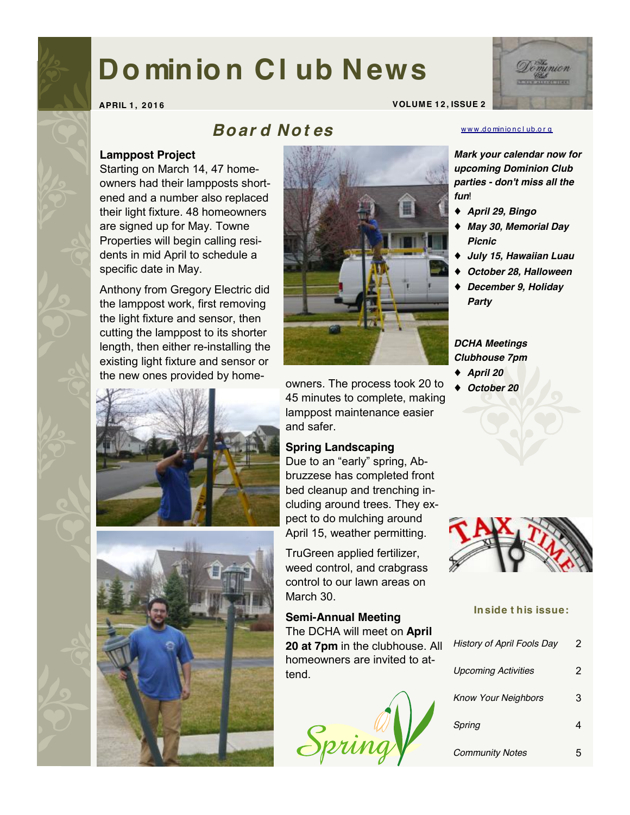# **Do minio n Cl ub News**



**APRIL 1 , 2 0 16 VOLUME 1 2 , ISSUE 2** 

# *Bo ar d N o t es*

#### www.do[minio](http://www.dominionclub.org)nclub.org

## **Lamppost Project**

Starting on March 14, 47 homeowners had their lampposts shortened and a number also replaced their light fixture. 48 homeowners are signed up for May. Towne Properties will begin calling residents in mid April to schedule a specific date in May.

Anthony from Gregory Electric did the lamppost work, first removing the light fixture and sensor, then cutting the lamppost to its shorter length, then either re-installing the existing light fixture and sensor or the new ones provided by home-







owners. The process took 20 to 45 minutes to complete, making lamppost maintenance easier and safer.

## **Spring Landscaping**

Due to an "early" spring, Abbruzzese has completed front bed cleanup and trenching including around trees. They expect to do mulching around April 15, weather permitting.

TruGreen applied fertilizer, weed control, and crabgrass control to our lawn areas on March 30.

**Semi-Annual Meeting** The DCHA will meet on **April 20 at 7pm** in the clubhouse. All homeowners are invited to attend.



*Mark your calendar now for upcoming Dominion Club parties - don't miss all the* 

- ♦ *April 29, Bingo*
- ♦ *May 30, Memorial Day Picnic*
- ♦ *July 15, Hawaiian Luau*
- ♦ *October 28, Halloween*
- ♦ *December 9, Holiday Party*

*DCHA Meetings Clubhouse 7pm* 

- ♦ *April 20*
- ♦ *October 20*



#### **Inside t his issue:**

| <b>History of April Fools Day</b> | 2 |
|-----------------------------------|---|
| <b>Upcoming Activities</b>        | 2 |
| <b>Know Your Neighbors</b>        | з |
| Spring                            |   |
| <b>Community Notes</b>            |   |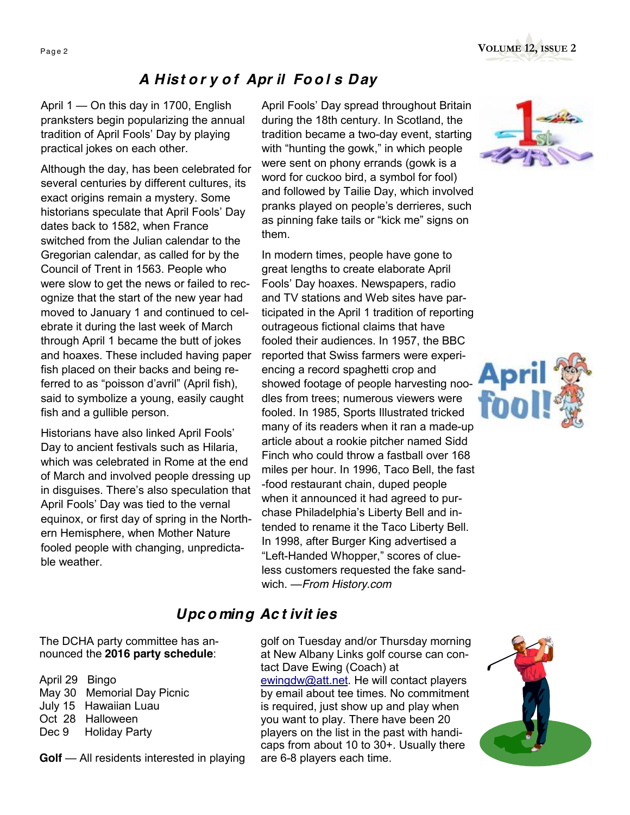# *A Hist o r y o f Apr il Fo o l s Day*

April 1 — On this day in 1700, English pranksters begin popularizing the annual tradition of April Fools' Day by playing practical jokes on each other.

Although the day, has been celebrated for several centuries by different cultures, its exact origins remain a mystery. Some historians speculate that April Fools' Day dates back to 1582, when France switched from the Julian calendar to the Gregorian calendar, as called for by the Council of Trent in 1563. People who were slow to get the news or failed to recognize that the start of the new year had moved to January 1 and continued to celebrate it during the last week of March through April 1 became the butt of jokes and hoaxes. These included having paper fish placed on their backs and being referred to as "poisson d'avril" (April fish), said to symbolize a young, easily caught fish and a gullible person.

Historians have also linked April Fools' Day to ancient festivals such as Hilaria, which was celebrated in Rome at the end of March and involved people dressing up in disguises. There's also speculation that April Fools' Day was tied to the vernal equinox, or first day of spring in the Northern Hemisphere, when Mother Nature fooled people with changing, unpredictable weather.

April Fools' Day spread throughout Britain during the 18th century. In Scotland, the tradition became a two-day event, starting with "hunting the gowk," in which people were sent on phony errands (gowk is a word for cuckoo bird, a symbol for fool) and followed by Tailie Day, which involved pranks played on people's derrieres, such as pinning fake tails or "kick me" signs on them.

In modern times, people have gone to great lengths to create elaborate April Fools' Day hoaxes. Newspapers, radio and TV stations and Web sites have participated in the April 1 tradition of reporting outrageous fictional claims that have fooled their audiences. In 1957, the BBC reported that Swiss farmers were experiencing a record spaghetti crop and showed footage of people harvesting noodles from trees; numerous viewers were fooled. In 1985, Sports Illustrated tricked many of its readers when it ran a made-up article about a rookie pitcher named Sidd Finch who could throw a fastball over 168 miles per hour. In 1996, Taco Bell, the fast -food restaurant chain, duped people when it announced it had agreed to purchase Philadelphia's Liberty Bell and intended to rename it the Taco Liberty Bell. In 1998, after Burger King advertised a "Left-Handed Whopper," scores of clueless customers requested the fake sandwich. —*From History.com*





## *Upc o ming Ac t ivit ies*

The DCHA party committee has announced the **2016 party schedule**:

April 29 Bingo May 30 Memorial Day Picnic July 15 Hawaiian Luau Oct 28 Halloween Dec 9 Holiday Party

**Golf** — All residents interested in playing

golf on Tuesday and/or Thursday morning at New Albany Links golf course can contact Dave Ewing (Coach) at [ewingdw@att.net](mailto:ewingdw@att.net). He will contact players by email about tee times. No commitment is required, just show up and play when you want to play. There have been 20 players on the list in the past with handicaps from about 10 to 30+. Usually there are 6-8 players each time.

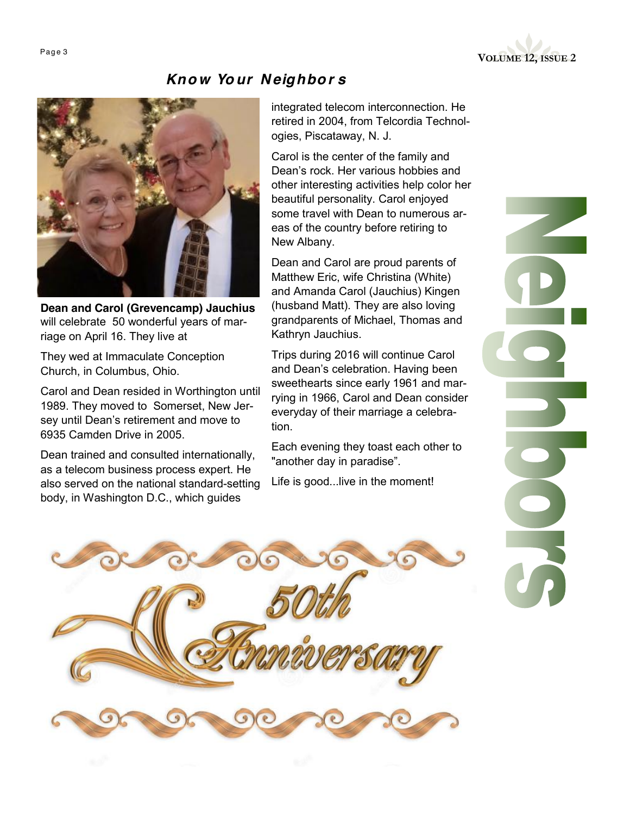

## *Kno w Your N eighbo r s*



**Dean and Carol (Grevencamp) Jauchius**  will celebrate 50 wonderful years of marriage on April 16. They live at

They wed at Immaculate Conception Church, in Columbus, Ohio.

Carol and Dean resided in Worthington until 1989. They moved to Somerset, New Jersey until Dean's retirement and move to 6935 Camden Drive in 2005.

Dean trained and consulted internationally, as a telecom business process expert. He also served on the national standard-setting body, in Washington D.C., which guides

integrated telecom interconnection. He retired in 2004, from Telcordia Technologies, Piscataway, N. J.

Carol is the center of the family and Dean's rock. Her various hobbies and other interesting activities help color her beautiful personality. Carol enjoyed some travel with Dean to numerous areas of the country before retiring to New Albany.

Dean and Carol are proud parents of Matthew Eric, wife Christina (White) and Amanda Carol (Jauchius) Kingen (husband Matt). They are also loving grandparents of Michael, Thomas and Kathryn Jauchius.

Trips during 2016 will continue Carol and Dean's celebration. Having been sweethearts since early 1961 and marrying in 1966, Carol and Dean consider everyday of their marriage a celebration.

Each evening they toast each other to "another day in paradise".

Life is good...live in the moment!

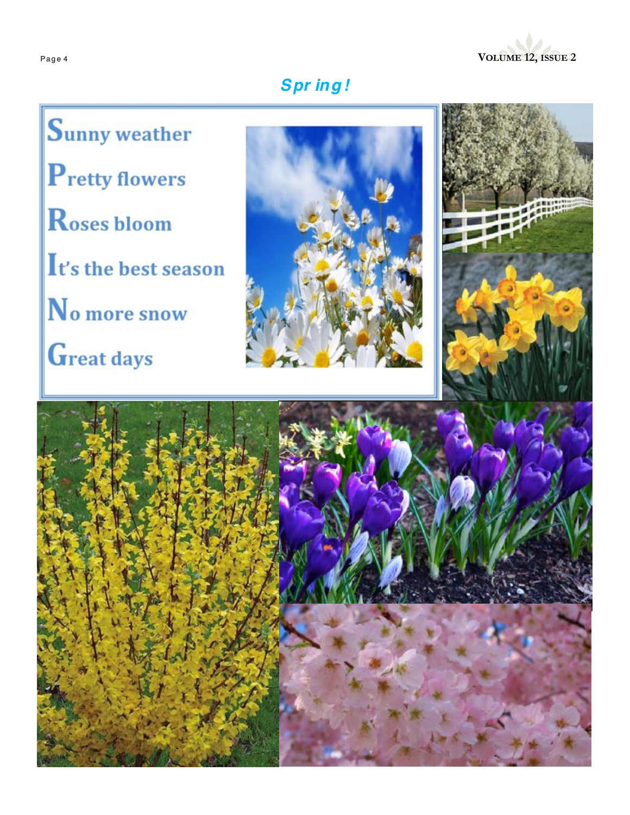

# **Spring!**

Sunny weather **P**retty flowers Roses bloom It's the best season No more snow Great days